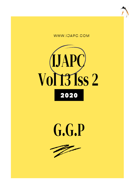





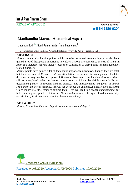

# **Int J Ayu Pharm Chem**

REVIEW ARTICLE www.ijapc.com

**e-ISSN 2350-0204**

## **Manibandha Marma- Anatomical Aspect**

Bhumica Bodh $^{\dagger *}$ , Sunil Kumar Yadav $^2$  and Lovepreet $^3$ 

<sup>1-3</sup>Department of Sharir Rachana, National Institute of Ayurveda, Jaipur, Rajasthan, India

## **ABSTRACT**

*Marma* are not only the vital points which are to be prevented from any injury but also have gained a lot of therapeutic importance nowadays. *Marma* are considered as seat of *Prana* in *Ayurveda* literature. *Marma* therapy focuses on stimulation of these points for management of related disorders.

*Marma* points have gained a lot of therapeutic importance nowadays. Though they are fatal, but these are seat of *Prana* too. *Prana* stimulation can be used in management of related disorders. A very concise description of *Marma* is given in texts, so location of its exact site is still to be explored. What lies beneath those points which can be visible anatomically and determined parallel to modern medical science? The measurements are given in *Anguli Pramana* of the person himself. *Sushruta* has described the anatomical classification of *Marma* which makes it a little easier to explore them. This will lead to a proper understanding, for better learning and practice of *Marma*. *Manibandha marma* is being explored anatomically, and similarity to structure and result with modern anatomy.

## **KEYWORDS**

*Marma, Prana, Manibandha, Anguli Pramana*, *Anatomical Aspect*



Received 04/08/2020 Accepted 01/09/2020 Published 10/09/2020

\_\_\_\_\_\_\_\_\_\_\_\_\_\_\_\_\_\_\_\_\_\_\_\_\_\_\_\_\_\_\_\_\_\_\_\_\_\_\_\_\_\_\_\_\_\_\_\_\_\_\_\_\_\_\_\_\_\_\_\_\_\_\_\_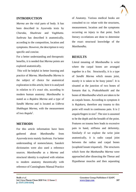

## **INTRODUCTION**

*Marma* are the vital parts of body. It has been described in Ayurveda texts by *Charaka, Shushruta* and *Vagbhatta. Sushruta* has described it anatomically, according to the composition, location and symptoms. However, the description is very specific and concise.

For a better understanding and therapeutic benefits, it is needed that *Marma* points are explored anatomically.

This will be helpful in better learning and practice of *Marma. Manibandha Marma* is the subject of choice for anatomical exploration in this article, here it is analysed in relation to it's exact site, according to modern human anatomy. *Manibandha* is stated as a *Rujakra Marma* and a type of *Sandhi Marma* and is located as *Udhrva Shakhagat Marma*, with the measurement of two *Angula<sup>1</sup> .*

#### **METHODS**

For this article information have been gathered about *Manibandha* from Ayurveda texts mainly *Sushruta*. For better understanding of nomenclature, Sanskrit dictionaries were also used a reference sources. *Manibandha* as a *Marma* and structural identity is explored with relation to modern anatomy theoretically with reference of Cunninghams Manual Practice

 $\mathcal{L}_\mathcal{L}$  , and the contribution of the contribution of the contribution of the contribution of the contribution of the contribution of the contribution of the contribution of the contribution of the contribution of

of Anatomy. Various medical books are consulted to co- relate with the structures, measurement, location and the symptoms occurring on injury to that point. Such literary co-relations are done to determine the exact structural knowledge of the *Manibandha.*

#### **RESULTS**

Literal meaning of *Manibandha* is wrist where the carpal bones are arranged together in a fist. Structurally, it is a type of *Sandhi Marma* which means joint, mostly it is taken to be bony joints<sup>2</sup>. It is situated at the junction of two bones of forearm that is, *Prakoshthasthi* and the bones of *Manibandha* which are taken to be as carpals bones. According to symptom it is *Rujakara*, therefore any trauma to this point will result in continuous pain. It is 2  $angular/fingers$  in size<sup>3</sup>. The size is assumed to be the depth and the breadth of the point. Features on trauma here leads to excessive pain in hand, stiffness and deformity. Similarly if we explore the wrist joint anatomically, it is radio carpal joint between the radius and carpal bones (scaphoid lunate triquetral) . The structures which form the *Manbandha Marma* were approached after dissecting the Thenar and Hypothenar muscles and then separating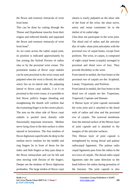the flexor and extensor retinacula of wrist from bone.

This can be done by cutting through the Thenar and Hypothenar muscles from their origins and reflected distally and separated the flexor and extensor retinacula of wrist from bone<sup>4</sup>.

As we come across the radial carpal joint, its position is indicated approximately by line joining the Styloid Process of radius ulna or by the proximal wrist crease. The prominent tendon of flexor carpi radialis can be seen proximal to the wrist crease and palpated when the wrist is flexed; the radial artery lies on its lateral side. By palpating lateral to flexor carpi radialis, 3 or 4 cm proximal to the wrist crease, it is possible to feel flexor pollicis longus (bending and straightening the thumb will confirm that the examining finger is in the correct place). The area on the ulnar side of flexor carpi radialis is packed most densely with functionally important structures. Median nerve lying close to the skin surface is often injured in lacerations. The four tendons of flexor digitorum superficialis lie deep to the median nerve: tendons for the middle and ring fingers lie in front of those for the index and little fingers as they pass deep to the flexor retinaculum and can be felt and seen moving with flexion of the fingers. Deeper are the tendons of flexor digitorum profundus. The large tendon of flexor carpi ulnaris is easily palpated on the ulnar side of the front of the wrist; the ulnar nerve, artery and venae comitantes lie in the shelter of its radial edge.

Ulna does not participate in the wrist joint. The distal end of radius and the articular disc of radio- ulnar joint articulates with the proximal row of carpal bones, except from pisiform. The wrist, or carpus, is composed of eight carpal bones (carpals) arranged in proximal and distal rows of four. They provide flexibility to the wrist.

From lateral to medial, the four bones in the proximal row of carpals are the: Scaphoid, Lunate, Triquetrum, and Pisiform.

From lateral to medial, the four bones in the distal row of carpals are the: Trapezium, Trapezoid, Capitate and Hamate.

A fibrous layer of joint capsule surrounds the wrist joint and is attached to the distal ends of radius and ulna and the proximal row of carpals. The synovial membrane lines the internal surface of the fibrous layer of joint capsule and is attached to the margins of the articular surfaces.

This fibrous layer of joint capsule is strengthened by strong dorsal and palmar radiocarpal ligaments. The palmar radio carpal ligaments pass from the radius to the two rows of carpals. The dorsal radio carpal ligaments take the same direction so the hand follows the radius during pronation of the forearm. The joint capsule is also

 $\mathcal{L}_\mathcal{L}$  , and the contribution of the contribution of the contribution of the contribution of the contribution of the contribution of the contribution of the contribution of the contribution of the contribution of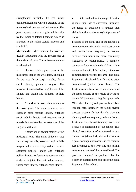strengthened medially by the ulnar collateral ligament, which is attached to the ulnar styloid process and triquetrum. The joint capsule is also strengthened laterally by the radial collateral ligament, which is attached to the radial styloid process and scaphoid<sup>5</sup>.

**Movements**- Movements at the wrist are usually associated with the movements at the mid carpal joint. The active movements are described.

 Flexion: it takes place more at the mid carpal than at the wrist joint. The main flexors are: flexor carpi radialis, flexor carpi ulnaris, palmaris longus. The movement is assisted by long flexors of the fingers and thumb and abductor pollicis longus.

 Extension: it takes place mainly at the wrist joint. The main extensors are: extensor carpi radialis longus, extensor carpi radialis brevis and extensor carpi ulnaris. It is assisted by the extensors of the fingers and thumb

 Abduction: it occurs mainly at the midcarpal joint. The main abductors are: flexor carpi radialis, extensor carpi radialis longus and extensor carpi radialis brevis, abductor pollicis longus and extensor pollicis brevis. Adduction: it occurs mainly at the wrist joint. The main adductors are: flexor carpi ulnaris, extensor carpi ulnaris

 $\mathcal{L}_\mathcal{L}$  , and the contribution of the contribution of the contribution of the contribution of the contribution of the contribution of the contribution of the contribution of the contribution of the contribution of

 Circumduction: the range of flexion is more than that of extension. Similarly, the range of adduction is greater than abduction (due to shorter styloid process of ulna) $.6$ 

Fracture of the distal end of the radius is a common fracture in adults  $> 50$  years of age and occurs more frequently in women because their bones are more commonly weakened by osteoporosis. A complete transverse fracture of the distal 2 cm of the radius, called a Colle's fracture, is the most common fracture of the forearm. The distal fragment is displaced dorsally and is often comminuted (broken into pieces). The fracture results from forced dorsiflexion of the hand, usually as the result of trying to ease a fall by outstretching the upper limb. Often the ulnar styloid process is avulsed (broken off). Normally the radial styloid process projects farther distally than the ulnar styloid; consequently, when a Colle's fracture occurs, this relationship is reversed because of shortening of the radius. This clinical condition is often referred to as a dinner fork (silver fork) deformity because a posterior angulation occurs in the forearm just proximal to the wrist and the normal anterior curvature of the relaxed hand. The posterior bending is produced by the posterior displacement and tilt of the distal fragment of the radius<sup>7</sup>.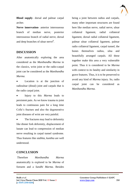

**Blood supply**- dorsal and palmar carpal arches

**Nerve innervation**- anterior interosseous branch of median nerve, posterior interosseous branch of radial nerve, dorsal and deep branches of ulnar nerve<sup>8</sup>.

## **DISCUSSION**

After anatomically exploring the area considered as the *Manibandha Marma* in the classics, wrist joint or the radio-carpal joint can be considered as the *Manibandha Marma*.

• Location is at the junction of radioulnar (distal) joint and carpals that is the radio carpal joint.

 Injury to this *Marma* leads to persistent pain. As we know trauma to joint leads to continuous pain for a long time Colle's fracture and also the degenerative joint diseases of wrist are very painful.

 The fractures may lead to deformity like dinner fork deformity, displacement of lunate can lead to compression of median nerve resulting in carpal tunnel syndrome. Thus features like *stabhta, kunthta* are well understood.

## **CONCLUSION**

Therefore *Manibandha Marma* anatomically is explored to be *Marma* of forearm and a *Sandhi Marma*. Besides

 $\mathcal{L}_\mathcal{L}$  , and the contribution of the contribution of the contribution of the contribution of the contribution of the contribution of the contribution of the contribution of the contribution of the contribution of

being a joint between radius and carpals, many other important structures are found here like median nerve, radial nerve, ulnar collateral ligament, radial collateral ligament, dorsal radial collateral ligament, palmar ulnar collateral ligament, palmar radio collateral ligament, carpal tunnel, the bones themselves radius, ulna and beautifully arranged carpals. All these together make this area a very vulnerable point. Thus it is considered to be *Marma*  with context to its fatality and similarity in grave features. Thus, it is to be preserved to avoid any kind of *Marma* injury. So, radio carpal joint can be considered as *Manibandha Marma*.